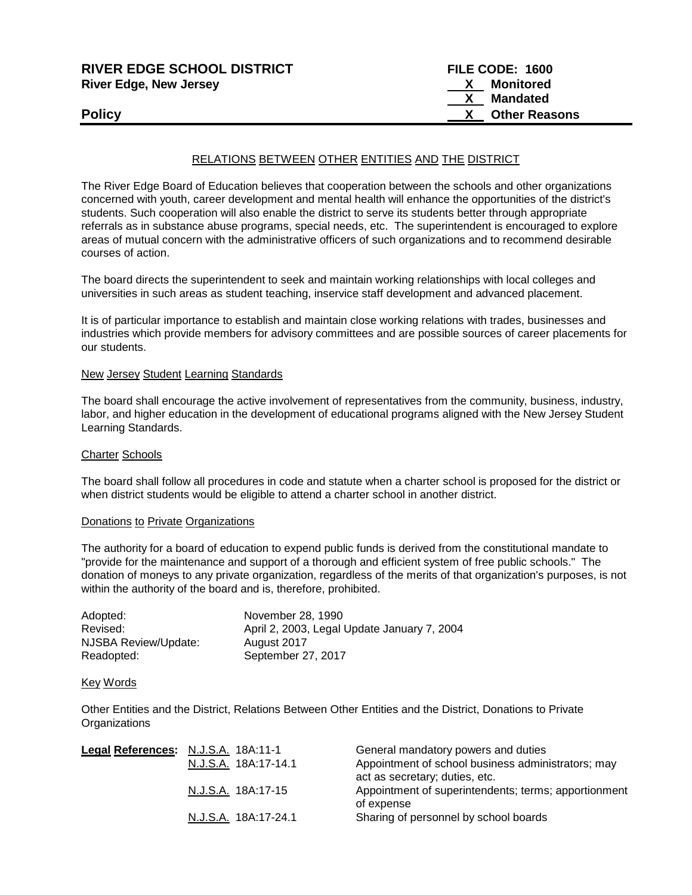| <b>RIVER EDGE SCHOOL DISTRICT</b> | FILE CODE: 1600      |
|-----------------------------------|----------------------|
| <b>River Edge, New Jersey</b>     | Monitored            |
|                                   | Mandated             |
| <b>Policy</b>                     | <b>Other Reasons</b> |

# RELATIONS BETWEEN OTHER ENTITIES AND THE DISTRICT

The River Edge Board of Education believes that cooperation between the schools and other organizations concerned with youth, career development and mental health will enhance the opportunities of the district's students. Such cooperation will also enable the district to serve its students better through appropriate referrals as in substance abuse programs, special needs, etc. The superintendent is encouraged to explore areas of mutual concern with the administrative officers of such organizations and to recommend desirable courses of action.

The board directs the superintendent to seek and maintain working relationships with local colleges and universities in such areas as student teaching, inservice staff development and advanced placement.

It is of particular importance to establish and maintain close working relations with trades, businesses and industries which provide members for advisory committees and are possible sources of career placements for our students.

#### New Jersey Student Learning Standards

The board shall encourage the active involvement of representatives from the community, business, industry, labor, and higher education in the development of educational programs aligned with the New Jersey Student Learning Standards.

## Charter Schools

The board shall follow all procedures in code and statute when a charter school is proposed for the district or when district students would be eligible to attend a charter school in another district.

## Donations to Private Organizations

The authority for a board of education to expend public funds is derived from the constitutional mandate to "provide for the maintenance and support of a thorough and efficient system of free public schools." The donation of moneys to any private organization, regardless of the merits of that organization's purposes, is not within the authority of the board and is, therefore, prohibited.

| Adopted:             | November 28, 1990                           |
|----------------------|---------------------------------------------|
| Revised:             | April 2, 2003, Legal Update January 7, 2004 |
| NJSBA Review/Update: | August 2017                                 |
| Readopted:           | September 27, 2017                          |

#### Key Words

Other Entities and the District, Relations Between Other Entities and the District, Donations to Private **Organizations** 

| Legal References: N.J.S.A. 18A:11-1 |                      | General mandatory powers and duties                  |
|-------------------------------------|----------------------|------------------------------------------------------|
|                                     | N.J.S.A. 18A:17-14.1 | Appointment of school business administrators; may   |
|                                     |                      | act as secretary; duties, etc.                       |
|                                     | N.J.S.A. 18A:17-15   | Appointment of superintendents; terms; apportionment |
|                                     |                      | of expense                                           |
|                                     | N.J.S.A. 18A:17-24.1 | Sharing of personnel by school boards                |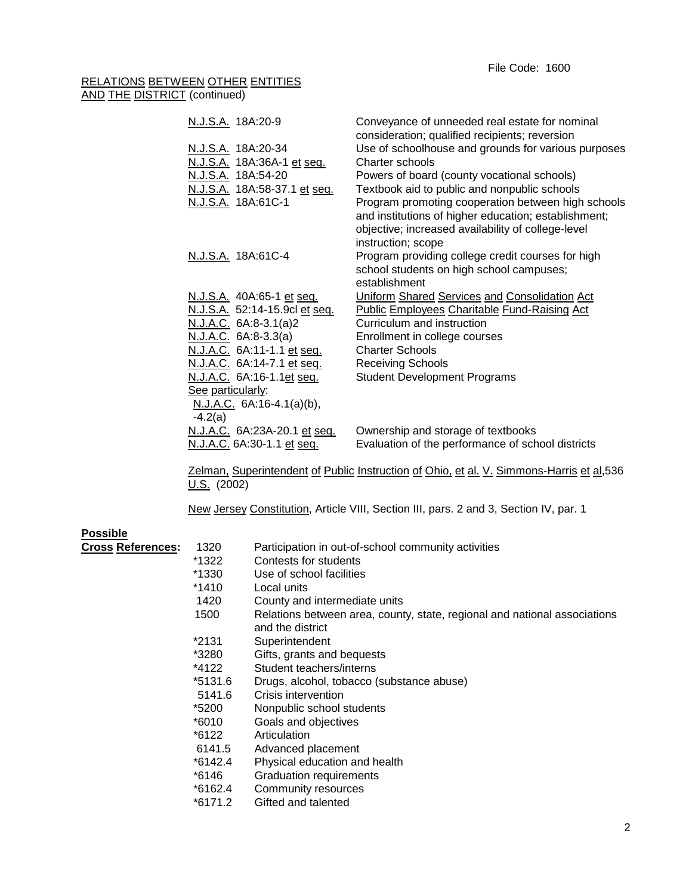# RELATIONS BETWEEN OTHER ENTITIES AND THE DISTRICT (continued)

| N.J.S.A. 18A:20-9             | Conveyance of unneeded real estate for nominal<br>consideration; qualified recipients; reversion |
|-------------------------------|--------------------------------------------------------------------------------------------------|
| N.J.S.A. 18A:20-34            | Use of schoolhouse and grounds for various purposes                                              |
| N.J.S.A. 18A:36A-1 et seq.    | Charter schools                                                                                  |
|                               |                                                                                                  |
| N.J.S.A. 18A:54-20            | Powers of board (county vocational schools)                                                      |
| N.J.S.A. 18A:58-37.1 et seq.  | Textbook aid to public and nonpublic schools                                                     |
| N.J.S.A. 18A:61C-1            | Program promoting cooperation between high schools                                               |
|                               | and institutions of higher education; establishment;                                             |
|                               | objective; increased availability of college-level                                               |
|                               | instruction; scope                                                                               |
| N.J.S.A. 18A:61C-4            | Program providing college credit courses for high                                                |
|                               | school students on high school campuses;                                                         |
|                               | establishment                                                                                    |
| N.J.S.A. 40A:65-1 et seq.     | Uniform Shared Services and Consolidation Act                                                    |
| N.J.S.A. 52:14-15.9cl et seq. | <b>Public Employees Charitable Fund-Raising Act</b>                                              |
| N.J.A.C. 6A:8-3.1(a)2         | Curriculum and instruction                                                                       |
| N.J.A.C. 6A:8-3.3(a)          | Enrollment in college courses                                                                    |
| N.J.A.C. 6A:11-1.1 et seq.    | <b>Charter Schools</b>                                                                           |
| N.J.A.C. 6A:14-7.1 et seq.    | <b>Receiving Schools</b>                                                                         |
| N.J.A.C. 6A:16-1.1et seq.     | <b>Student Development Programs</b>                                                              |
| See particularly:             |                                                                                                  |
| N.J.A.C. 6A:16-4.1(a)(b),     |                                                                                                  |
| $-4.2(a)$                     |                                                                                                  |
| N.J.A.C. 6A:23A-20.1 et seq.  | Ownership and storage of textbooks                                                               |
| N.J.A.C. 6A:30-1.1 et seq.    | Evaluation of the performance of school districts                                                |
|                               |                                                                                                  |
|                               | Zelman, Superintendent of Public Instruction of Ohio, et al. V. Simmons-Harris et al, 536        |
| $U.S.$ (2002)                 |                                                                                                  |

New Jersey Constitution, Article VIII, Section III, pars. 2 and 3, Section IV, par. 1

# **Possible**

| Cross Ref <u>erences</u> : | 1320      | Participation in out-of-school community activities                       |
|----------------------------|-----------|---------------------------------------------------------------------------|
|                            | *1322     | Contests for students                                                     |
|                            | *1330     | Use of school facilities                                                  |
|                            | *1410     | Local units                                                               |
|                            | 1420      | County and intermediate units                                             |
|                            | 1500      | Relations between area, county, state, regional and national associations |
|                            |           | and the district                                                          |
|                            | *2131     | Superintendent                                                            |
|                            | *3280     | Gifts, grants and bequests                                                |
|                            | *4122     | Student teachers/interns                                                  |
|                            | *5131.6   | Drugs, alcohol, tobacco (substance abuse)                                 |
|                            | 5141.6    | Crisis intervention                                                       |
|                            | *5200     | Nonpublic school students                                                 |
|                            | *6010     | Goals and objectives                                                      |
|                            | *6122     | Articulation                                                              |
|                            | 6141.5    | Advanced placement                                                        |
|                            | $*6142.4$ | Physical education and health                                             |
|                            | *6146     | Graduation requirements                                                   |
|                            | $*6162.4$ | Community resources                                                       |
|                            | *6171.2   | Gifted and talented                                                       |